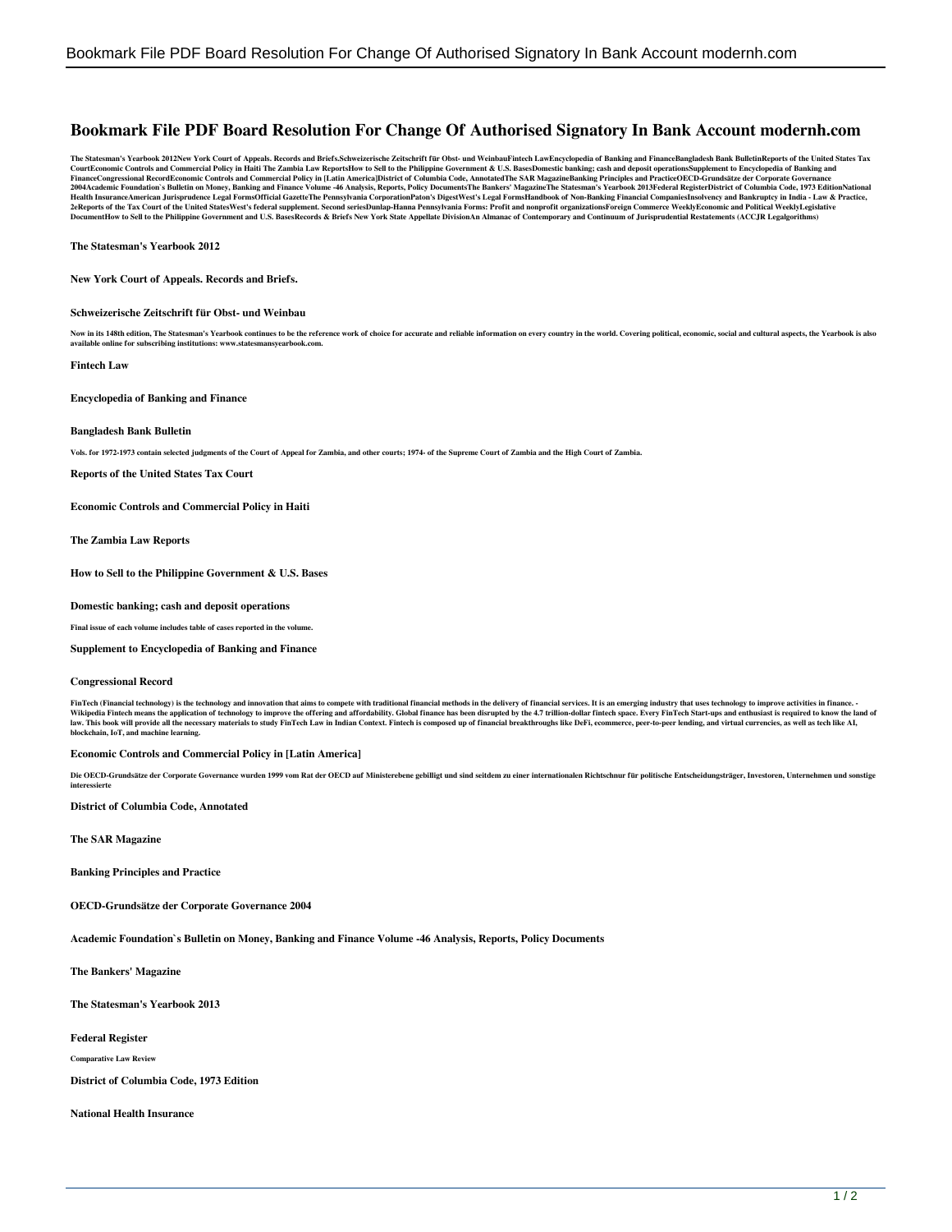# **Bookmark File PDF Board Resolution For Change Of Authorised Signatory In Bank Account modernh.com**

The Statesman's Yearbook 2012New York Court of Appeals. Records and Briefs.Schweizerische Zeitschrift für Obst- und WeinbauFintech LawEncyclopedia of Banking and FinanceBangladesh Bank BulletinReports of the United States 2004Academic Foundation's Bulletin on Money, Banking and Finance Volume 46 Analysis, Reports, Policy DocumentsThe Bankers' MagazineThe Statesman's Yearbook 2013Federal RegisterDistrict of Columbia Code, 1973 EditionNationa

**The Statesman's Yearbook 2012**

**New York Court of Appeals. Records and Briefs.**

#### **Schweizerische Zeitschrift für Obst- und Weinbau**

Now in its 148th edition, The Statesman's Yearbook continues to be the reference work of choice for accurate and reliable information on every country in the world. Covering political, economic, social and cultural aspects **line for subscribing institutions: www.statesma** 

**Fintech Law**

**Encyclopedia of Banking and Finance**

#### **Bangladesh Bank Bulletin**

**Vols. for 1972-1973 contain selected judgments of the Court of Appeal for Zambia, and other courts; 1974- of the Supreme Court of Zambia and the High Court of Zambia.**

**Reports of the United States Tax Court**

**Economic Controls and Commercial Policy in Haiti** 

**The Zambia Law Reports**

**How to Sell to the Philippine Government & U.S. Bases**

#### **Domestic banking; cash and deposit operations**

**Final issue of each volume includes table of cases reported in the volume.**

**Supplement to Encyclopedia of Banking and Finance**

#### **Congressional Record**

FinTech (Financial technology) is the technology and innovation that aims to compete with traditional financial methods in the delivery of financial services. It is an emerging industry that uses technology to improve acti Wikipedia Fintech means the application of technology to improve the offering and affordability. Global finance has been disrupted by the 4.7 trillion-dollar fintech space. Every FinTech Start-ups and enthusiast is require

#### **Economic Controls and Commercial Policy in [Latin America]**

Die OECD-Grundsätze der Corporate Governance wurden 1999 vom Rat der OECD auf Ministerebene gebilligt und sind seitdem zu einer internationalen Richtschnur für politische Entscheidungsträger, Investoren, Unternehmen und so **interessierte** 

**District of Columbia Code, Annotated**

**The SAR Magazine**

**Banking Principles and Practice**

**OECD-Grundsätze der Corporate Governance 2004**

**Academic Foundation`s Bulletin on Money, Banking and Finance Volume -46 Analysis, Reports, Policy Documents**

**The Bankers' Magazine**

**The Statesman's Yearbook 2013**

**Federal Register**

**Comparative Law Review**

**District of Columbia Code, 1973 Edition**

**National Health Insurance**